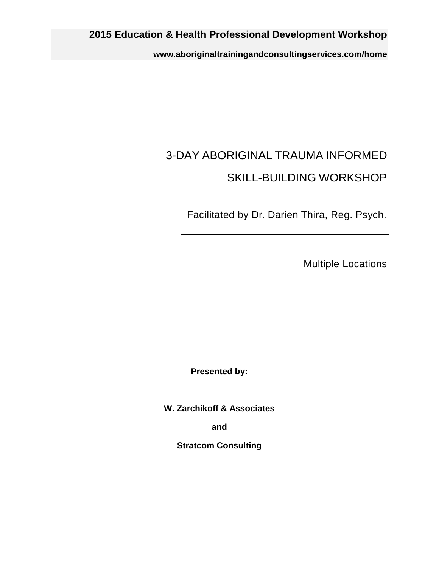**www.aboriginaltrainingandconsultingservices.com/home**

# 3-DAY ABORIGINAL TRAUMA INFORMED SKILL-BUILDING WORKSHOP

Facilitated by Dr. Darien Thira, Reg. Psych.

Multiple Locations

**Presented by:**

**W. Zarchikoff & Associates**

**and**

**Stratcom Consulting**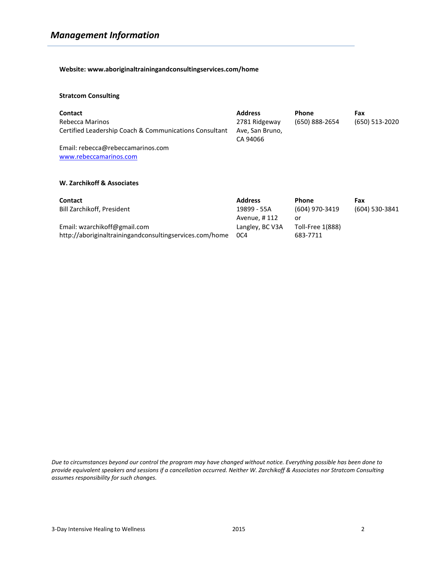**Website: www.aboriginaltrainingandconsultingservices.com/home**

#### **Stratcom Consulting**

| <b>Contact</b><br>Rebecca Marinos<br>Certified Leadership Coach & Communications Consultant | <b>Address</b><br>2781 Ridgeway<br>Ave, San Bruno,<br>CA 94066 | <b>Phone</b><br>(650) 888-2654 | Fax<br>(650) 513-2020 |
|---------------------------------------------------------------------------------------------|----------------------------------------------------------------|--------------------------------|-----------------------|
| Email: rebecca@rebeccamarinos.com<br>www.rebeccamarinos.com                                 |                                                                |                                |                       |
| W. Zarchikoff & Associates                                                                  |                                                                |                                |                       |

| <b>Contact</b>                                          | <b>Address</b>  | <b>Phone</b>     | Fax            |
|---------------------------------------------------------|-----------------|------------------|----------------|
| Bill Zarchikoff, President                              | 19899 - 55A     | (604) 970-3419   | (604) 530-3841 |
|                                                         | Avenue, #112    | or               |                |
| Email: wzarchikoff@gmail.com                            | Langley, BC V3A | Toll-Free 1(888) |                |
| http://aboriginaltrainingandconsultingservices.com/home | OC4             | 683-7711         |                |

*Due to circumstances beyond our control the program may have changed without notice. Everything possible has been done to provide equivalent speakers and sessions if a cancellation occurred. Neither W. Zarchikoff & Associates nor Stratcom Consulting assumes responsibility for such changes.*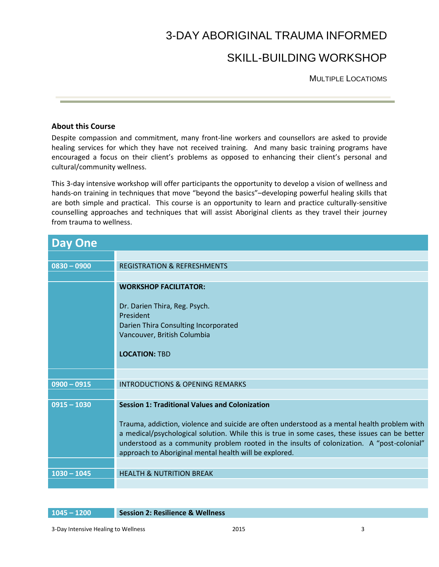# 3-DAY ABORIGINAL TRAUMA INFORMED

# SKILL-BUILDING WORKSHOP

MULTIPLE LOCATIOMS

### **About this Course**

Despite compassion and commitment, many front-line workers and counsellors are asked to provide healing services for which they have not received training. And many basic training programs have encouraged a focus on their client's problems as opposed to enhancing their client's personal and cultural/community wellness.

This 3-day intensive workshop will offer participants the opportunity to develop a vision of wellness and hands-on training in techniques that move "beyond the basics"–developing powerful healing skills that are both simple and practical. This course is an opportunity to learn and practice culturally-sensitive counselling approaches and techniques that will assist Aboriginal clients as they travel their journey from trauma to wellness.

| <b>Day One</b> |                                                                                                                                                                                                                                                                                                                                                                                                                 |
|----------------|-----------------------------------------------------------------------------------------------------------------------------------------------------------------------------------------------------------------------------------------------------------------------------------------------------------------------------------------------------------------------------------------------------------------|
|                |                                                                                                                                                                                                                                                                                                                                                                                                                 |
| $0830 - 0900$  | <b>REGISTRATION &amp; REFRESHMENTS</b>                                                                                                                                                                                                                                                                                                                                                                          |
|                |                                                                                                                                                                                                                                                                                                                                                                                                                 |
|                | <b>WORKSHOP FACILITATOR:</b>                                                                                                                                                                                                                                                                                                                                                                                    |
|                | Dr. Darien Thira, Reg. Psych.<br>President<br>Darien Thira Consulting Incorporated<br>Vancouver, British Columbia<br><b>LOCATION: TBD</b>                                                                                                                                                                                                                                                                       |
|                |                                                                                                                                                                                                                                                                                                                                                                                                                 |
| $0900 - 0915$  | <b>INTRODUCTIONS &amp; OPENING REMARKS</b>                                                                                                                                                                                                                                                                                                                                                                      |
|                |                                                                                                                                                                                                                                                                                                                                                                                                                 |
| $0915 - 1030$  | <b>Session 1: Traditional Values and Colonization</b><br>Trauma, addiction, violence and suicide are often understood as a mental health problem with<br>a medical/psychological solution. While this is true in some cases, these issues can be better<br>understood as a community problem rooted in the insults of colonization. A "post-colonial"<br>approach to Aboriginal mental health will be explored. |
| $1030 - 1045$  | <b>HEALTH &amp; NUTRITION BREAK</b>                                                                                                                                                                                                                                                                                                                                                                             |
|                |                                                                                                                                                                                                                                                                                                                                                                                                                 |

**1045 – 1200 Session 2: Resilience & Wellness**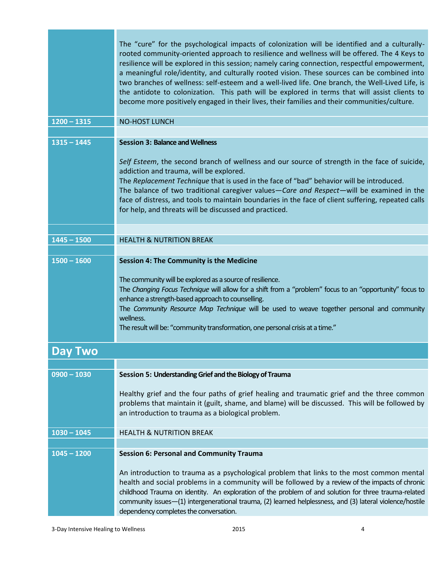|                | The "cure" for the psychological impacts of colonization will be identified and a culturally-<br>rooted community-oriented approach to resilience and wellness will be offered. The 4 Keys to<br>resilience will be explored in this session; namely caring connection, respectful empowerment,<br>a meaningful role/identity, and culturally rooted vision. These sources can be combined into<br>two branches of wellness: self-esteem and a well-lived life. One branch, the Well-Lived Life, is<br>the antidote to colonization. This path will be explored in terms that will assist clients to<br>become more positively engaged in their lives, their families and their communities/culture. |
|----------------|------------------------------------------------------------------------------------------------------------------------------------------------------------------------------------------------------------------------------------------------------------------------------------------------------------------------------------------------------------------------------------------------------------------------------------------------------------------------------------------------------------------------------------------------------------------------------------------------------------------------------------------------------------------------------------------------------|
| $1200 - 1315$  | <b>NO-HOST LUNCH</b>                                                                                                                                                                                                                                                                                                                                                                                                                                                                                                                                                                                                                                                                                 |
| $1315 - 1445$  | <b>Session 3: Balance and Wellness</b>                                                                                                                                                                                                                                                                                                                                                                                                                                                                                                                                                                                                                                                               |
|                | Self Esteem, the second branch of wellness and our source of strength in the face of suicide,<br>addiction and trauma, will be explored.<br>The Replacement Technique that is used in the face of "bad" behavior will be introduced.<br>The balance of two traditional caregiver values-Care and Respect-will be examined in the<br>face of distress, and tools to maintain boundaries in the face of client suffering, repeated calls<br>for help, and threats will be discussed and practiced.                                                                                                                                                                                                     |
|                |                                                                                                                                                                                                                                                                                                                                                                                                                                                                                                                                                                                                                                                                                                      |
| $1445 - 1500$  | <b>HEALTH &amp; NUTRITION BREAK</b>                                                                                                                                                                                                                                                                                                                                                                                                                                                                                                                                                                                                                                                                  |
| $1500 - 1600$  | <b>Session 4: The Community is the Medicine</b><br>The community will be explored as a source of resilience.<br>The Changing Focus Technique will allow for a shift from a "problem" focus to an "opportunity" focus to<br>enhance a strength-based approach to counselling.<br>The Community Resource Map Technique will be used to weave together personal and community<br>wellness.<br>The result will be: "community transformation, one personal crisis at a time."                                                                                                                                                                                                                            |
| <b>Day Two</b> |                                                                                                                                                                                                                                                                                                                                                                                                                                                                                                                                                                                                                                                                                                      |
|                |                                                                                                                                                                                                                                                                                                                                                                                                                                                                                                                                                                                                                                                                                                      |
| $0900 - 1030$  | Session 5: Understanding Grief and the Biology of Trauma<br>Healthy grief and the four paths of grief healing and traumatic grief and the three common<br>problems that maintain it (guilt, shame, and blame) will be discussed. This will be followed by<br>an introduction to trauma as a biological problem.                                                                                                                                                                                                                                                                                                                                                                                      |
| $1030 - 1045$  | <b>HEALTH &amp; NUTRITION BREAK</b>                                                                                                                                                                                                                                                                                                                                                                                                                                                                                                                                                                                                                                                                  |
|                |                                                                                                                                                                                                                                                                                                                                                                                                                                                                                                                                                                                                                                                                                                      |
| $1045 - 1200$  | <b>Session 6: Personal and Community Trauma</b><br>An introduction to trauma as a psychological problem that links to the most common mental<br>health and social problems in a community will be followed by a review of the impacts of chronic<br>childhood Trauma on identity. An exploration of the problem of and solution for three trauma-related<br>community issues-(1) intergenerational trauma, (2) learned helplessness, and (3) lateral violence/hostile<br>dependency completes the conversation.                                                                                                                                                                                      |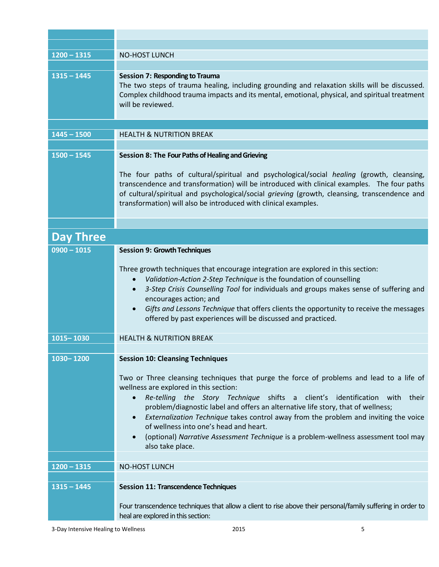| $1200 - 1315$    | <b>NO-HOST LUNCH</b>                                                                                                                                                                                                                                                                                                                                                                                                                                                                                                                                           |
|------------------|----------------------------------------------------------------------------------------------------------------------------------------------------------------------------------------------------------------------------------------------------------------------------------------------------------------------------------------------------------------------------------------------------------------------------------------------------------------------------------------------------------------------------------------------------------------|
|                  |                                                                                                                                                                                                                                                                                                                                                                                                                                                                                                                                                                |
| $1315 - 1445$    | <b>Session 7: Responding to Trauma</b><br>The two steps of trauma healing, including grounding and relaxation skills will be discussed.<br>Complex childhood trauma impacts and its mental, emotional, physical, and spiritual treatment<br>will be reviewed.                                                                                                                                                                                                                                                                                                  |
|                  |                                                                                                                                                                                                                                                                                                                                                                                                                                                                                                                                                                |
| $1445 - 1500$    | <b>HEALTH &amp; NUTRITION BREAK</b>                                                                                                                                                                                                                                                                                                                                                                                                                                                                                                                            |
|                  |                                                                                                                                                                                                                                                                                                                                                                                                                                                                                                                                                                |
| $1500 - 1545$    | Session 8: The Four Paths of Healing and Grieving                                                                                                                                                                                                                                                                                                                                                                                                                                                                                                              |
|                  | The four paths of cultural/spiritual and psychological/social healing (growth, cleansing,<br>transcendence and transformation) will be introduced with clinical examples. The four paths<br>of cultural/spiritual and psychological/social grieving (growth, cleansing, transcendence and<br>transformation) will also be introduced with clinical examples.                                                                                                                                                                                                   |
|                  |                                                                                                                                                                                                                                                                                                                                                                                                                                                                                                                                                                |
| <b>Day Three</b> |                                                                                                                                                                                                                                                                                                                                                                                                                                                                                                                                                                |
| $0900 - 1015$    | <b>Session 9: Growth Techniques</b>                                                                                                                                                                                                                                                                                                                                                                                                                                                                                                                            |
|                  | Three growth techniques that encourage integration are explored in this section:<br>Validation-Action 2-Step Technique is the foundation of counselling<br>3-Step Crisis Counselling Tool for individuals and groups makes sense of suffering and<br>encourages action; and<br>Gifts and Lessons Technique that offers clients the opportunity to receive the messages<br>offered by past experiences will be discussed and practiced.                                                                                                                         |
| 1015-1030        | <b>HEALTH &amp; NUTRITION BREAK</b>                                                                                                                                                                                                                                                                                                                                                                                                                                                                                                                            |
|                  |                                                                                                                                                                                                                                                                                                                                                                                                                                                                                                                                                                |
| 1030-1200        | <b>Session 10: Cleansing Techniques</b>                                                                                                                                                                                                                                                                                                                                                                                                                                                                                                                        |
|                  | Two or Three cleansing techniques that purge the force of problems and lead to a life of<br>wellness are explored in this section:<br>Re-telling the Story Technique shifts a client's identification with their<br>$\bullet$<br>problem/diagnostic label and offers an alternative life story, that of wellness;<br>Externalization Technique takes control away from the problem and inviting the voice<br>of wellness into one's head and heart.<br>(optional) Narrative Assessment Technique is a problem-wellness assessment tool may<br>also take place. |
| $1200 - 1315$    | <b>NO-HOST LUNCH</b>                                                                                                                                                                                                                                                                                                                                                                                                                                                                                                                                           |
|                  |                                                                                                                                                                                                                                                                                                                                                                                                                                                                                                                                                                |
| $1315 - 1445$    | <b>Session 11: Transcendence Techniques</b>                                                                                                                                                                                                                                                                                                                                                                                                                                                                                                                    |
|                  | Four transcendence techniques that allow a client to rise above their personal/family suffering in order to<br>heal are explored in this section:                                                                                                                                                                                                                                                                                                                                                                                                              |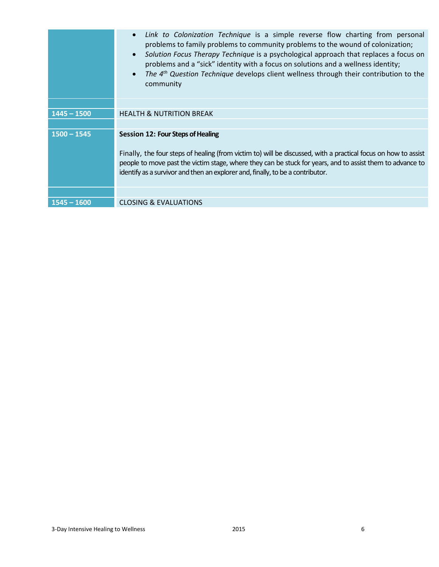|               | Link to Colonization Technique is a simple reverse flow charting from personal<br>$\bullet$<br>problems to family problems to community problems to the wound of colonization;<br>Solution Focus Therapy Technique is a psychological approach that replaces a focus on<br>$\bullet$<br>problems and a "sick" identity with a focus on solutions and a wellness identity;<br>The 4 <sup>th</sup> Question Technique develops client wellness through their contribution to the<br>$\bullet$<br>community |
|---------------|----------------------------------------------------------------------------------------------------------------------------------------------------------------------------------------------------------------------------------------------------------------------------------------------------------------------------------------------------------------------------------------------------------------------------------------------------------------------------------------------------------|
|               |                                                                                                                                                                                                                                                                                                                                                                                                                                                                                                          |
| $1445 - 1500$ | <b>HEALTH &amp; NUTRITION BREAK</b>                                                                                                                                                                                                                                                                                                                                                                                                                                                                      |
|               |                                                                                                                                                                                                                                                                                                                                                                                                                                                                                                          |
| $1500 - 1545$ | <b>Session 12: Four Steps of Healing</b><br>Finally, the four steps of healing (from victim to) will be discussed, with a practical focus on how to assist<br>people to move past the victim stage, where they can be stuck for years, and to assist them to advance to<br>identify as a survivor and then an explorer and, finally, to be a contributor.                                                                                                                                                |
|               |                                                                                                                                                                                                                                                                                                                                                                                                                                                                                                          |
| $1545 - 1600$ | <b>CLOSING &amp; EVALUATIONS</b>                                                                                                                                                                                                                                                                                                                                                                                                                                                                         |